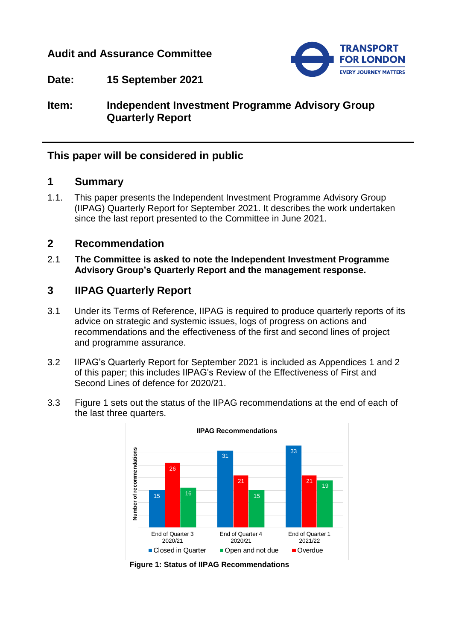# **Audit and Assurance Committee**



**Date: 15 September 2021**

**Item: Independent Investment Programme Advisory Group Quarterly Report**

## **This paper will be considered in public**

### **1 Summary**

1.1. This paper presents the Independent Investment Programme Advisory Group (IIPAG) Quarterly Report for September 2021. It describes the work undertaken since the last report presented to the Committee in June 2021.

### **2 Recommendation**

2.1 **The Committee is asked to note the Independent Investment Programme Advisory Group's Quarterly Report and the management response.**

## **3 IIPAG Quarterly Report**

- 3.1 Under its Terms of Reference, IIPAG is required to produce quarterly reports of its advice on strategic and systemic issues, logs of progress on actions and recommendations and the effectiveness of the first and second lines of project and programme assurance.
- 3.2 IIPAG's Quarterly Report for September 2021 is included as Appendices 1 and 2 of this paper; this includes IIPAG's Review of the Effectiveness of First and Second Lines of defence for 2020/21.
- 3.3 Figure 1 sets out the status of the IIPAG recommendations at the end of each of the last three quarters.



**Figure 1: Status of IIPAG Recommendations**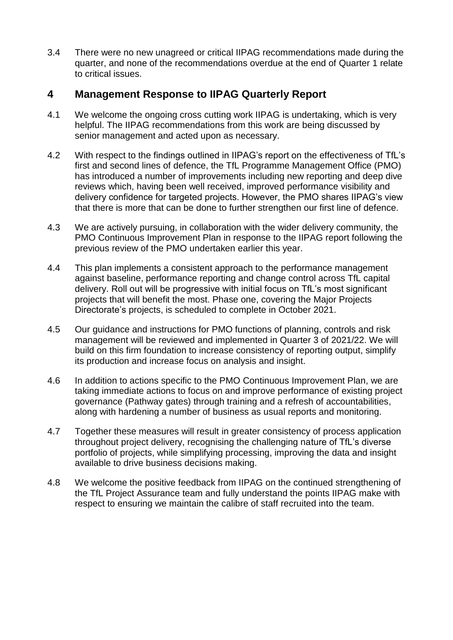3.4 There were no new unagreed or critical IIPAG recommendations made during the quarter, and none of the recommendations overdue at the end of Quarter 1 relate to critical issues.

# **4 Management Response to IIPAG Quarterly Report**

- 4.1 We welcome the ongoing cross cutting work IIPAG is undertaking, which is very helpful. The IIPAG recommendations from this work are being discussed by senior management and acted upon as necessary.
- 4.2 With respect to the findings outlined in IIPAG's report on the effectiveness of TfL's first and second lines of defence, the TfL Programme Management Office (PMO) has introduced a number of improvements including new reporting and deep dive reviews which, having been well received, improved performance visibility and delivery confidence for targeted projects. However, the PMO shares IIPAG's view that there is more that can be done to further strengthen our first line of defence.
- 4.3 We are actively pursuing, in collaboration with the wider delivery community, the PMO Continuous Improvement Plan in response to the IIPAG report following the previous review of the PMO undertaken earlier this year.
- 4.4 This plan implements a consistent approach to the performance management against baseline, performance reporting and change control across TfL capital delivery. Roll out will be progressive with initial focus on TfL's most significant projects that will benefit the most. Phase one, covering the Major Projects Directorate's projects, is scheduled to complete in October 2021.
- 4.5 Our guidance and instructions for PMO functions of planning, controls and risk management will be reviewed and implemented in Quarter 3 of 2021/22. We will build on this firm foundation to increase consistency of reporting output, simplify its production and increase focus on analysis and insight.
- 4.6 In addition to actions specific to the PMO Continuous Improvement Plan, we are taking immediate actions to focus on and improve performance of existing project governance (Pathway gates) through training and a refresh of accountabilities, along with hardening a number of business as usual reports and monitoring.
- 4.7 Together these measures will result in greater consistency of process application throughout project delivery, recognising the challenging nature of TfL's diverse portfolio of projects, while simplifying processing, improving the data and insight available to drive business decisions making.
- 4.8 We welcome the positive feedback from IIPAG on the continued strengthening of the TfL Project Assurance team and fully understand the points IIPAG make with respect to ensuring we maintain the calibre of staff recruited into the team.